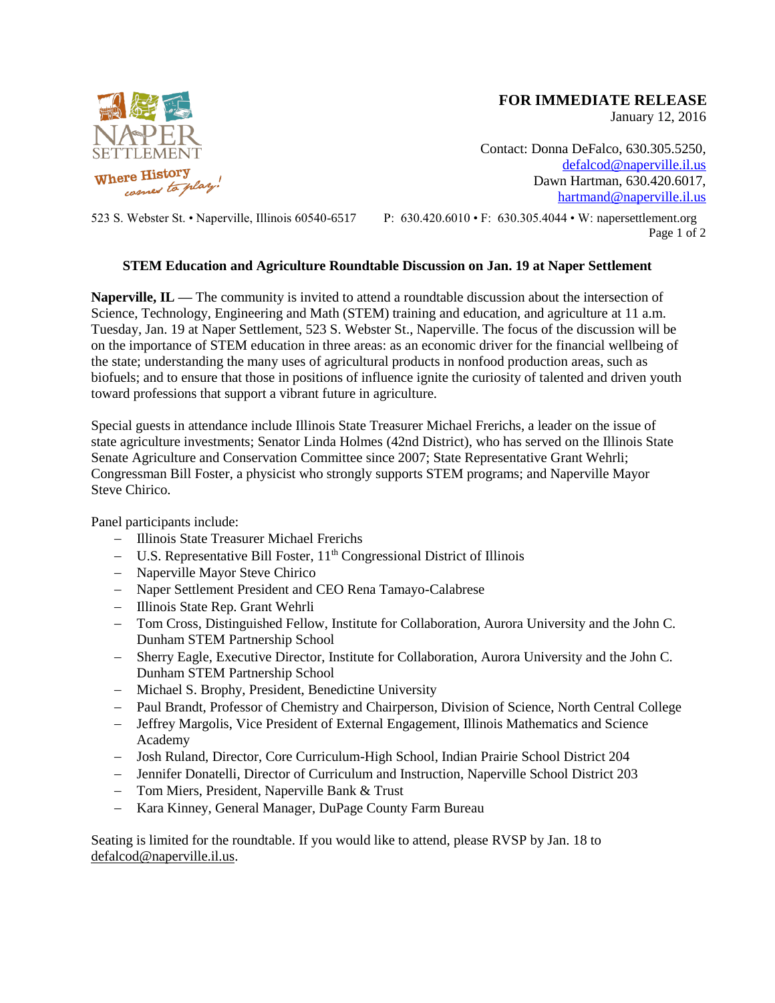

## **FOR IMMEDIATE RELEASE**

January 12, 2016

Contact: Donna DeFalco, 630.305.5250, [defalcod@naperville.il.us](mailto:defalcod@naperville.il.us) Dawn Hartman, 630.420.6017, [hartmand@naperville.il.us](mailto:hartmand@naperville.il.us)

523 S. Webster St. • Naperville, Illinois 60540-6517 P: 630.420.6010 • F: 630.305.4044 • W: napersettlement.org Page 1 of 2

# **STEM Education and Agriculture Roundtable Discussion on Jan. 19 at Naper Settlement**

**Naperville, IL —** The community is invited to attend a roundtable discussion about the intersection of Science, Technology, Engineering and Math (STEM) training and education, and agriculture at 11 a.m. Tuesday, Jan. 19 at Naper Settlement, 523 S. Webster St., Naperville. The focus of the discussion will be on the importance of STEM education in three areas: as an economic driver for the financial wellbeing of the state; understanding the many uses of agricultural products in nonfood production areas, such as biofuels; and to ensure that those in positions of influence ignite the curiosity of talented and driven youth toward professions that support a vibrant future in agriculture.

Special guests in attendance include Illinois State Treasurer Michael Frerichs, a leader on the issue of state agriculture investments; Senator Linda Holmes (42nd District), who has served on the Illinois State Senate Agriculture and Conservation Committee since 2007; State Representative Grant Wehrli; Congressman Bill Foster, a physicist who strongly supports STEM programs; and Naperville Mayor Steve Chirico.

Panel participants include:

- Illinois State Treasurer Michael Frerichs
- $-$  U.S. Representative Bill Foster,  $11<sup>th</sup>$  Congressional District of Illinois
- Naperville Mayor Steve Chirico
- Naper Settlement President and CEO Rena Tamayo-Calabrese
- Illinois State Rep. Grant Wehrli
- Tom Cross, Distinguished Fellow, Institute for Collaboration, Aurora University and the John C. Dunham STEM Partnership School
- Sherry Eagle, Executive Director, Institute for Collaboration, Aurora University and the John C. Dunham STEM Partnership School
- Michael S. Brophy, President, Benedictine University
- Paul Brandt, Professor of Chemistry and Chairperson, Division of Science, North Central College
- Jeffrey Margolis, Vice President of External Engagement, Illinois Mathematics and Science Academy
- Josh Ruland, Director, Core Curriculum-High School, Indian Prairie School District 204
- Jennifer Donatelli, Director of Curriculum and Instruction, Naperville School District 203
- Tom Miers, President, Naperville Bank & Trust
- Kara Kinney, General Manager, DuPage County Farm Bureau

Seating is limited for the roundtable. If you would like to attend, please RVSP by Jan. 18 to [defalcod@naperville.il.us.](mailto:defalcod@naperville.il.us)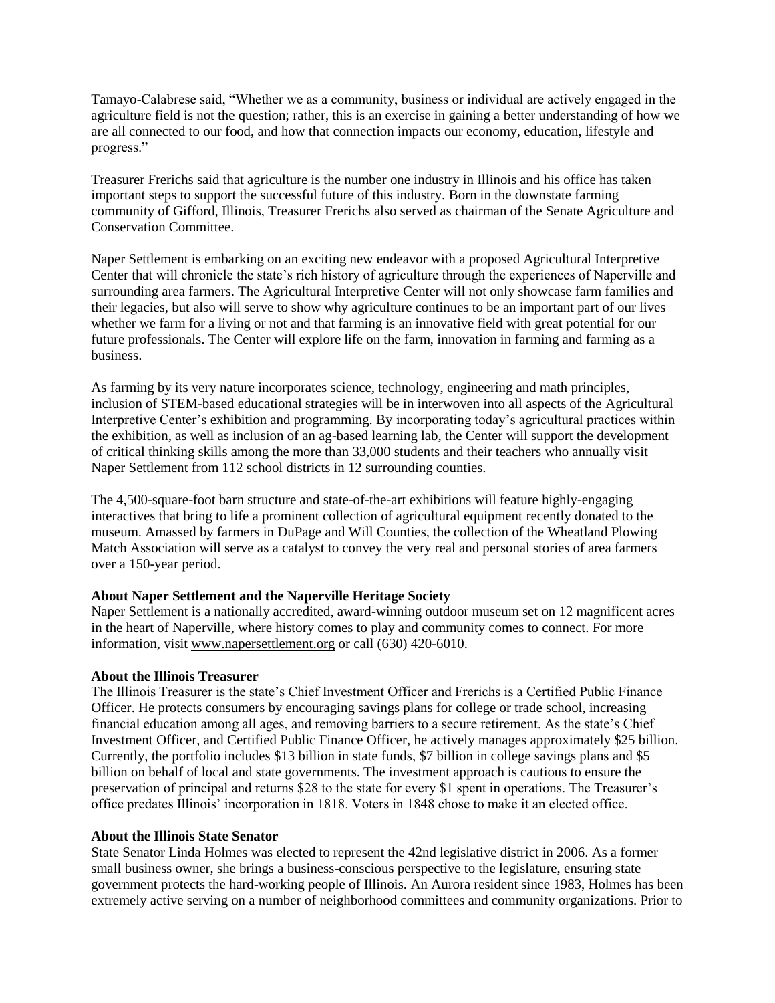Tamayo-Calabrese said, "Whether we as a community, business or individual are actively engaged in the agriculture field is not the question; rather, this is an exercise in gaining a better understanding of how we are all connected to our food, and how that connection impacts our economy, education, lifestyle and progress."

Treasurer Frerichs said that agriculture is the number one industry in Illinois and his office has taken important steps to support the successful future of this industry. Born in the downstate farming community of Gifford, Illinois, Treasurer Frerichs also served as chairman of the Senate Agriculture and Conservation Committee.

Naper Settlement is embarking on an exciting new endeavor with a proposed Agricultural Interpretive Center that will chronicle the state's rich history of agriculture through the experiences of Naperville and surrounding area farmers. The Agricultural Interpretive Center will not only showcase farm families and their legacies, but also will serve to show why agriculture continues to be an important part of our lives whether we farm for a living or not and that farming is an innovative field with great potential for our future professionals. The Center will explore life on the farm, innovation in farming and farming as a business.

As farming by its very nature incorporates science, technology, engineering and math principles, inclusion of STEM-based educational strategies will be in interwoven into all aspects of the Agricultural Interpretive Center's exhibition and programming. By incorporating today's agricultural practices within the exhibition, as well as inclusion of an ag-based learning lab, the Center will support the development of critical thinking skills among the more than 33,000 students and their teachers who annually visit Naper Settlement from 112 school districts in 12 surrounding counties.

The 4,500-square-foot barn structure and state-of-the-art exhibitions will feature highly-engaging interactives that bring to life a prominent collection of agricultural equipment recently donated to the museum. Amassed by farmers in DuPage and Will Counties, the collection of the Wheatland Plowing Match Association will serve as a catalyst to convey the very real and personal stories of area farmers over a 150-year period.

### **About Naper Settlement and the Naperville Heritage Society**

Naper Settlement is a nationally accredited, award-winning outdoor museum set on 12 magnificent acres in the heart of Naperville, where history comes to play and community comes to connect. For more information, visit [www.napersettlement.org](http://www.napersettlement.org/) or call (630) 420-6010.

### **About the Illinois Treasurer**

The Illinois Treasurer is the state's Chief Investment Officer and Frerichs is a Certified Public Finance Officer. He protects consumers by encouraging savings plans for college or trade school, increasing financial education among all ages, and removing barriers to a secure retirement. As the state's Chief Investment Officer, and Certified Public Finance Officer, he actively manages approximately \$25 billion. Currently, the portfolio includes \$13 billion in state funds, \$7 billion in college savings plans and \$5 billion on behalf of local and state governments. The investment approach is cautious to ensure the preservation of principal and returns \$28 to the state for every \$1 spent in operations. The Treasurer's office predates Illinois' incorporation in 1818. Voters in 1848 chose to make it an elected office.

#### **About the Illinois State Senator**

State Senator Linda Holmes was elected to represent the 42nd legislative district in 2006. As a former small business owner, she brings a business-conscious perspective to the legislature, ensuring state government protects the hard-working people of Illinois. An Aurora resident since 1983, Holmes has been extremely active serving on a number of neighborhood committees and community organizations. Prior to